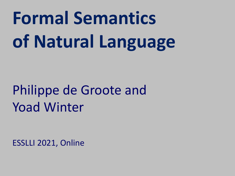# **Formal Semantics of Natural Language**

## Philippe de Groote and Yoad Winter

ESSLLI 2021, Online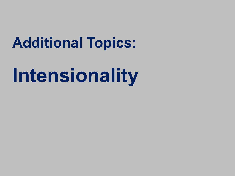## **Additional Topics:**

# **Intensionality**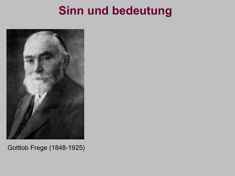

Gottlob Frege (1848-1925)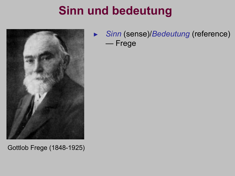

► *Sinn* (sense)/*Bedeutung* (reference) — Frege

Gottlob Frege (1848-1925)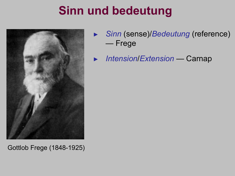

► *Sinn* (sense)/*Bedeutung* (reference) — Frege

► *Intension*/*Extension* — Carnap

Gottlob Frege (1848-1925)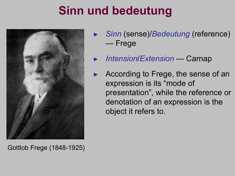

Gottlob Frege (1848-1925)

- ► *Sinn* (sense)/*Bedeutung* (reference) — Frege
- ► *Intension*/*Extension* Carnap
- According to Frege, the sense of an expression is its "mode of presentation", while the reference or denotation of an expression is the object it refers to.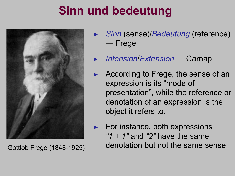

- ► *Sinn* (sense)/*Bedeutung* (reference) — Frege
- ► *Intension*/*Extension* Carnap
- According to Frege, the sense of an expression is its "mode of presentation", while the reference or denotation of an expression is the object it refers to.
- ► For instance, both expressions *"1 + 1"* and *"2"* have the same Gottlob Frege (1848-1925) denotation but not the same sense.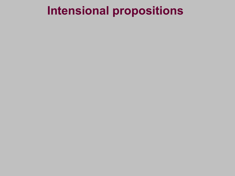- 
- 
- 
- 
- -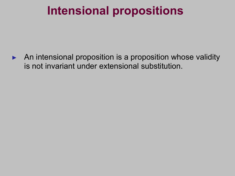► An intensional proposition is a proposition whose validity is not invariant under extensional substitution.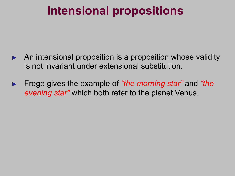- An intensional proposition is a proposition whose validity is not invariant under extensional substitution.
- ► Frege gives the example of *"the morning star"* and *"the evening star"* which both refer to the planet Venus.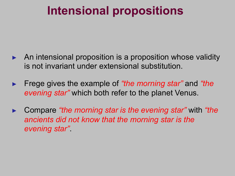- An intensional proposition is a proposition whose validity is not invariant under extensional substitution.
- ► Frege gives the example of *"the morning star"* and *"the evening star"* which both refer to the planet Venus.
- ► Compare *"the morning star is the evening star"* with *"the ancients did not know that the morning star is the evening star"*.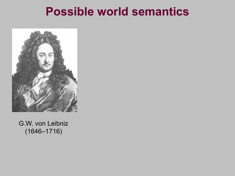

G.W. von Leibniz (1646–1716)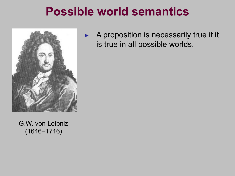

► A proposition is necessarily true if it is true in all possible worlds.

G.W. von Leibniz (1646–1716)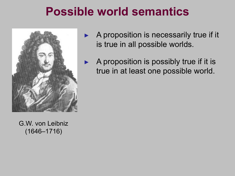

G.W. von Leibniz (1646–1716)

- A proposition is necessarily true if it is true in all possible worlds.
- A proposition is possibly true if it is true in at least one possible world.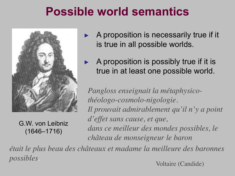

G.W. von Leibniz (1646–1716)

- A proposition is necessarily true if it is true in all possible worlds.
- A proposition is possibly true if it is true in at least one possible world.

*Pangloss enseignait la métaphysicothéologo-cosmolo-nigologie. Il prouvait admirablement qu'il n'y a point d'effet sans cause, et que, dans ce meilleur des mondes possibles, le château de monseigneur le baron*

*était le plus beau des châteaux et madame la meilleure des baronnes* possibles.<br>
Voltaire (Candide)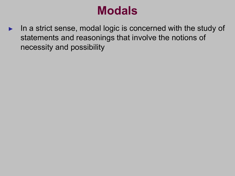► In a strict sense, modal logic is concerned with the study of statements and reasonings that involve the notions of necessity and possibility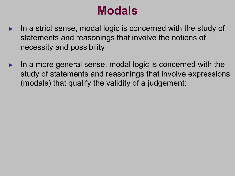- In a strict sense, modal logic is concerned with the study of statements and reasonings that involve the notions of necessity and possibility
- In a more general sense, modal logic is concerned with the study of statements and reasonings that involve expressions (modals) that qualify the validity of a judgement: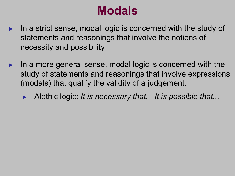- ► In a strict sense, modal logic is concerned with the study of statements and reasonings that involve the notions of necessity and possibility
- In a more general sense, modal logic is concerned with the study of statements and reasonings that involve expressions (modals) that qualify the validity of a judgement:
	- ► Alethic logic: *It is necessary that... It is possible that...*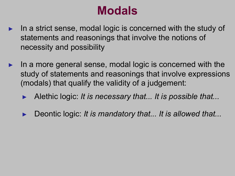- In a strict sense, modal logic is concerned with the study of statements and reasonings that involve the notions of necessity and possibility
- In a more general sense, modal logic is concerned with the study of statements and reasonings that involve expressions (modals) that qualify the validity of a judgement:
	- ► Alethic logic: *It is necessary that... It is possible that...*
	- ► Deontic logic: *It is mandatory that... It is allowed that...*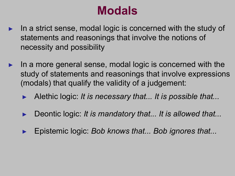- In a strict sense, modal logic is concerned with the study of statements and reasonings that involve the notions of necessity and possibility
- In a more general sense, modal logic is concerned with the study of statements and reasonings that involve expressions (modals) that qualify the validity of a judgement:
	- ► Alethic logic: *It is necessary that... It is possible that...*
	- ► Deontic logic: *It is mandatory that... It is allowed that...*
	- ► Epistemic logic: *Bob knows that... Bob ignores that...*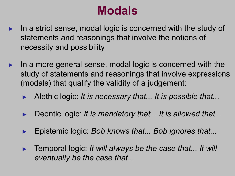- In a strict sense, modal logic is concerned with the study of statements and reasonings that involve the notions of necessity and possibility
- In a more general sense, modal logic is concerned with the study of statements and reasonings that involve expressions (modals) that qualify the validity of a judgement:
	- ► Alethic logic: *It is necessary that... It is possible that...*
	- ► Deontic logic: *It is mandatory that... It is allowed that...*
	- ► Epistemic logic: *Bob knows that... Bob ignores that...*
	- ► Temporal logic: *It will always be the case that... It will eventually be the case that...*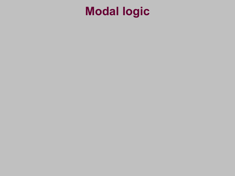### **Modal logic**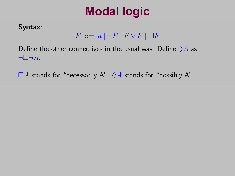### **Modal logic**

#### Syntax:

#### $F \ ::= a \mid \neg F \mid F \lor F \mid \Box F$

Define the other connectives in the usual way. Define  $\diamondsuit A$  as  $\neg \Box \neg A$ 

 $\Box A$  stands for "necessarily A".  $\Diamond A$  stands for "possibly A".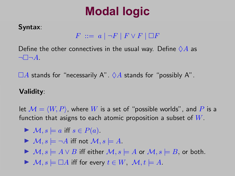### **Modal logic**

#### Syntax: Syntax:

#### $F \ ::= a \mid \neg F \mid F \lor F \mid \Box F$

Define the other connectives in the usual way. Define  $\diamondsuit A$  as  $\neg \Box \neg A$ .

⇤*A* stands for "necessarily A". ⌃*A* stands for "possibly A". ⇤*A* stands for "necessarily A". ⌃*A* stands for "possibly A".

#### Validity: Validity:

let  $\mathcal{M} = \langle W, P \rangle$ , where  $W$  is a set of "possible worlds", and  $P$  is a function that asigns to each atomic proposition a subset of *W*. function that asigns to each atomic proposition a subset of *W*.

 $\blacktriangleright$  *M*, *s*  $\models$  *a* iff *s*  $\in$  *P*(*a*).

$$
\blacktriangleright \mathcal{M}, s \models \neg A \text{ iff not } \mathcal{M}, s \models A.
$$

 $\blacktriangleright M, s \models A \lor B$  iff either  $\mathcal{M}, s \models A$  or  $\mathcal{M}, s \models B$ , or both.

 $\blacktriangleright M, s \models \Box A$  iff for every  $t \in W$ ,  $\mathcal{M}, t \models A$ .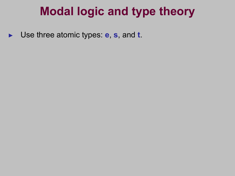► Use three atomic types: **e**, **s**, and **t**.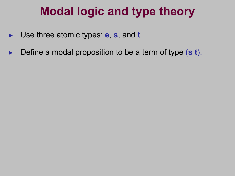- ► Use three atomic types: **e**, **s**, and **t**.
- Define a modal proposition to be a term of type (s t).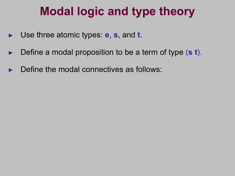- ► Use three atomic types: **e**, **s**, and **t**.
- Define a modal proposition to be a term of type (s t).
- Define the modal connectives as follows: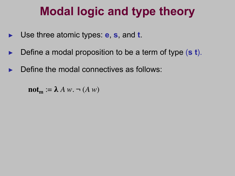- ► Use three atomic types: **e**, **s**, and **t**.
- Define a modal proposition to be a term of type (s t).
- Define the modal connectives as follows:

 $\textbf{not}_{\textbf{m}} := \lambda A w$ .  $\neg (A w)$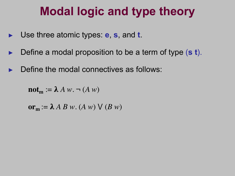- ► Use three atomic types: **e**, **s**, and **t**.
- Define a modal proposition to be a term of type (s t).
- Define the modal connectives as follows:

 $\textbf{not}_{\textbf{m}} := \lambda A w$ .  $\neg (A w)$ 

 $or_m := \lambda ABw$ .  $(A w) \vee (B w)$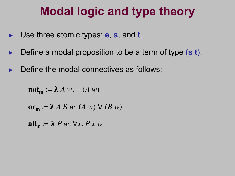- ► Use three atomic types: **e**, **s**, and **t**.
- Define a modal proposition to be a term of type (s t).
- Define the modal connectives as follows:

 $\textbf{not}_{\textbf{m}} := \lambda A w$ .  $\neg (A w)$ 

$$
\mathbf{or}_{\mathbf{m}} := \lambda A B w. (A w) \vee (B w)
$$

 $all_m := \lambda P w. \forall x. P x w$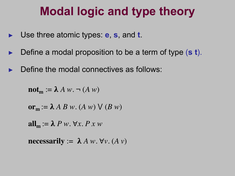- ► Use three atomic types: **e**, **s**, and **t**.
- Define a modal proposition to be a term of type (s t).
- Define the modal connectives as follows:

 $\textbf{not}_{\textbf{m}} := \lambda A w$ .  $\neg (A w)$ 

$$
\mathbf{or}_{\mathbf{m}} := \lambda A B w. (A w) \vee (B w)
$$

 $all_m := \lambda P w. \forall x. P x w$ 

**necessarily** :=  $\lambda A w. \forall v. (A v)$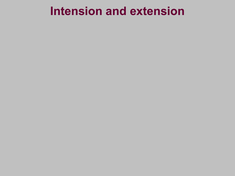#### **Intension and extension**

- 
- 
- 
- 
- -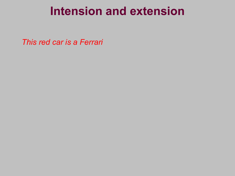#### **Intension and extension**

*This red car is a Ferrari*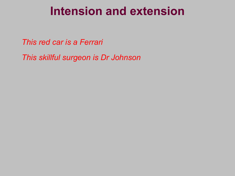#### **Intension and extension**

*This red car is a Ferrari*

*This skillful surgeon is Dr Johnson*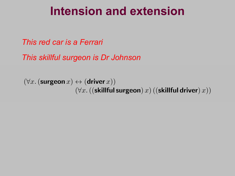#### **Intension and extension** Intension and extension

*This red car is a Ferrari* This red car is a Ferrari

*This skillful surgeon is Dr Johnson*

 $(\forall x.$  (surgeon  $x) \leftrightarrow$  (driver  $x)$ )  $(\forall x. (($ skillful surgeon)  $x)$   $(($ skillful driver $)$   $x))$